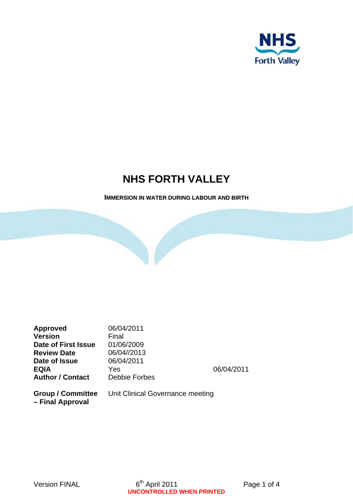

# **NHS FORTH VALLEY**

## **IMMERSION IN WATER DURING LABOUR AND BIRTH**

| <b>Approved</b><br><b>Version</b><br><b>Date of First Issue</b> | 06/04/2011<br>Final<br>01/06/2009<br>06/04//2013 |            |
|-----------------------------------------------------------------|--------------------------------------------------|------------|
| <b>Review Date</b><br>Date of Issue                             | 06/04/2011                                       |            |
| <b>EQIA</b>                                                     | Yes                                              | 06/04/2011 |
| <b>Author / Contact</b>                                         | Debbie Forbes                                    |            |
| <b>Group / Committee</b><br>- Final Approval                    | Unit Clinical Governance meeting                 |            |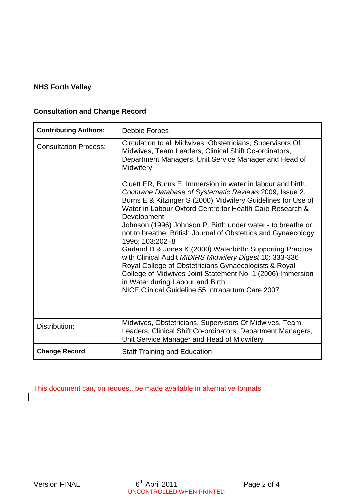# **NHS Forth Valley**

# **Consultation and Change Record**

| <b>Contributing Authors:</b> | <b>Debbie Forbes</b>                                                                                                                                                                                                                                                                                                                                                                                                                                                                                                                                                                                                                                                                                                                                        |  |
|------------------------------|-------------------------------------------------------------------------------------------------------------------------------------------------------------------------------------------------------------------------------------------------------------------------------------------------------------------------------------------------------------------------------------------------------------------------------------------------------------------------------------------------------------------------------------------------------------------------------------------------------------------------------------------------------------------------------------------------------------------------------------------------------------|--|
| <b>Consultation Process:</b> | Circulation to all Midwives, Obstetricians, Supervisors Of<br>Midwives, Team Leaders, Clinical Shift Co-ordinators,<br>Department Managers, Unit Service Manager and Head of<br>Midwifery                                                                                                                                                                                                                                                                                                                                                                                                                                                                                                                                                                   |  |
|                              | Cluett ER, Burns E. Immersion in water in labour and birth.<br>Cochrane Database of Systematic Reviews 2009, Issue 2.<br>Burns E & Kitzinger S (2000) Midwifery Guidelines for Use of<br>Water in Labour Oxford Centre for Health Care Research &<br>Development<br>Johnson (1996) Johnson P. Birth under water - to breathe or<br>not to breathe. British Journal of Obstetrics and Gynaecology<br>1996; 103:202-8<br>Garland D & Jones K (2000) Waterbirth: Supporting Practice<br>with Clinical Audit MIDIRS Midwifery Digest 10: 333-336<br>Royal College of Obstetricians Gynaecologists & Royal<br>College of Midwives Joint Statement No. 1 (2006) Immersion<br>in Water during Labour and Birth<br>NICE Clinical Guideline 55 Intrapartum Care 2007 |  |
| Distribution:                | Midwives, Obstetricians, Supervisors Of Midwives, Team<br>Leaders, Clinical Shift Co-ordinators, Department Managers,<br>Unit Service Manager and Head of Midwifery                                                                                                                                                                                                                                                                                                                                                                                                                                                                                                                                                                                         |  |
| <b>Change Record</b>         | <b>Staff Training and Education</b>                                                                                                                                                                                                                                                                                                                                                                                                                                                                                                                                                                                                                                                                                                                         |  |

This document can, on request, be made available in alternative formats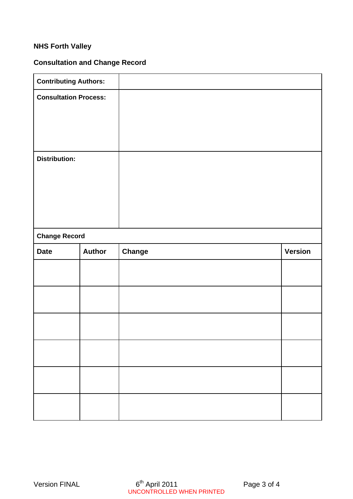# **NHS Forth Valley**

# **Consultation and Change Record**

| <b>Contributing Authors:</b> |               |               |                |
|------------------------------|---------------|---------------|----------------|
| <b>Consultation Process:</b> |               |               |                |
|                              |               |               |                |
|                              |               |               |                |
|                              |               |               |                |
| <b>Distribution:</b>         |               |               |                |
|                              |               |               |                |
|                              |               |               |                |
|                              |               |               |                |
|                              |               |               |                |
| <b>Change Record</b>         |               |               |                |
| <b>Date</b>                  | <b>Author</b> | <b>Change</b> | <b>Version</b> |
|                              |               |               |                |
|                              |               |               |                |
|                              |               |               |                |
|                              |               |               |                |
|                              |               |               |                |
|                              |               |               |                |
|                              |               |               |                |
|                              |               |               |                |
|                              |               |               |                |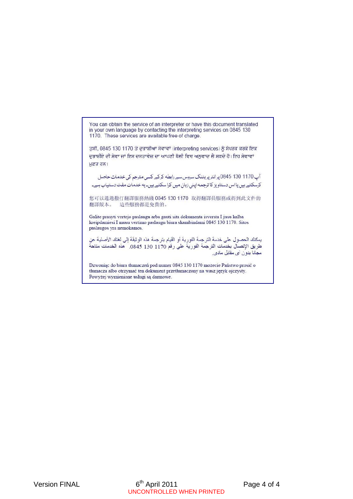You can obtain the service of an interpreter or have this document translated in your own language by contacting the interpreting services on 0845 130 1170. These services are available free of charge.

ਤੁਸੀਂ, 0845 130 1170 ਤੇ ਦੁਭਾਸ਼ੀਆ ਸੇਵਾਵਾਂ (interpreting services) ਨੂੰ ਸੰਪਰਕ ਕਰਕੇ ਇਕ ਦੁਭਾਸ਼ੀਏ ਦੀ ਸੇਵਾ ਜਾਂ ਇਸ ਦਸਤਾਵੇਜ਼ ਦਾ ਆਪਣੀ ਬੋਲੀ ਵਿਚ ਅਨੁਵਾਦ ਲੈ ਸਕਦੇ ਹੋ। ਇਹ ਸੇਵਾਵਾਂ ਮੁਫ਼ਤ ਹਨ।

آپ 1170 130 0845 پرانٹرپریٹنگ سروس سے رابطه کرکے کسی مترجم کی خدمات حاصل کرسکتے ہیں یا اس دستاویز کا ترجمه اینی زبان میں کرا سکتے ہیں۔ یه خدمات مفت دستیاب ہے۔

您可以通過撥打翻譯服務熱綫 0845 130 1170 取得翻譯員服務或得到此文件的 翻譯版本。 這些服務都是免費的。

Galite prasyti vertejo paslaugu arba gauti sita dokumenta isversta I jusu kalba kreipdamiesi I musu vertimo paslaugu biura skambindami 0845 130 1170. Sitos paslaugos yra nemokamos.

يمكنك الحصول على خدمة الترجمة الفورية أو القيام بترجمة هذه الوثيقة إلى لغتك الأصلية عن<br>طريق الإتصال بخدمات الترجمة الفورية على رقم 1170 130 0845 . هذه الخدمات متاحة مجانا بدون أي مقابل مادي.

Dzwoniąc do biura tłumaczeń pod numer 0845 130 1170 możecie Państwo prosić o tłumacza albo otrzymać ten dokument przetłumaczony na wasz język ojczysty. Powyżej wymienione usługi są darmowe.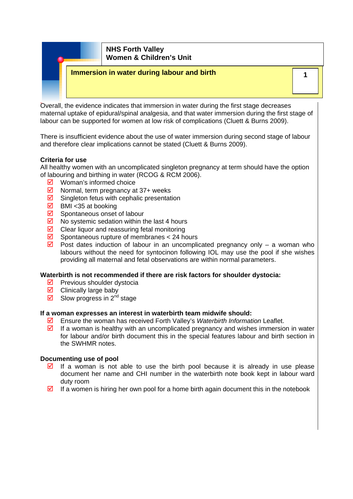

Overall, the evidence indicates that immersion in water during the first stage decreases maternal uptake of epidural/spinal analgesia, and that water immersion during the first stage of labour can be supported for women at low risk of complications (Cluett & Burns 2009).

There is insufficient evidence about the use of water immersion during second stage of labour and therefore clear implications cannot be stated (Cluett & Burns 2009).

#### **Criteria for use**

All healthy women with an uncomplicated singleton pregnancy at term should have the option of labouring and birthing in water (RCOG & RCM 2006).

- $\triangledown$  Woman's informed choice
- $\boxtimes$  Normal, term pregnancy at 37+ weeks
- $\boxtimes$  Singleton fetus with cephalic presentation
- $\boxtimes$  BMI <35 at booking
- $\boxtimes$  Spontaneous onset of labour
- $\boxtimes$  No systemic sedation within the last 4 hours
- $\boxtimes$  Clear liquor and reassuring fetal monitoring
- $\boxtimes$  Spontaneous rupture of membranes < 24 hours
- $\overline{2}$  Post dates induction of labour in an uncomplicated pregnancy only a woman who labours without the need for syntocinon following IOL may use the pool if she wishes providing all maternal and fetal observations are within normal parameters.

#### **Waterbirth is not recommended if there are risk factors for shoulder dystocia:**

- $\triangledown$  Previous shoulder dystocia
- $\boxtimes$  Clinically large baby
- $\overline{\mathbf{y}}$  Slow progress in 2<sup>nd</sup> stage

#### **If a woman expresses an interest in waterbirth team midwife should:**

- ; Ensure the woman has received Forth Valley's *Waterbirth Information* Leaflet.
- $\boxtimes$  If a woman is healthy with an uncomplicated pregnancy and wishes immersion in water for labour and/or birth document this in the special features labour and birth section in the SWHMR notes.

#### **Documenting use of pool**

- $\boxtimes$  If a woman is not able to use the birth pool because it is already in use please document her name and CHI number in the waterbirth note book kept in labour ward duty room
- $\boxtimes$  If a women is hiring her own pool for a home birth again document this in the notebook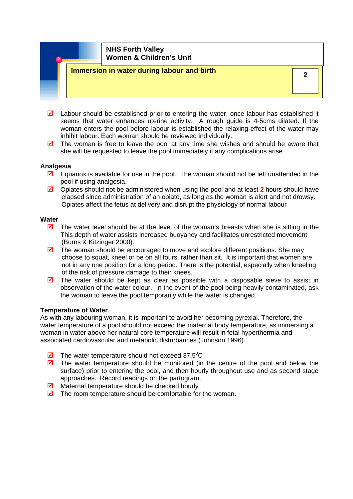# **2 Immersion in water during labour and birth**

- $\boxtimes$  Labour should be established prior to entering the water, once labour has established it seems that water enhances uterine activity. A rough guide is 4-5cms dilated. If the woman enters the pool before labour is established the relaxing effect of the water may inhibit labour. Each woman should be reviewed individually.
- $\boxtimes$  The woman is free to leave the pool at any time she wishes and should be aware that she will be requested to leave the pool immediately if any complications arise

#### **Analgesia**

- $\boxtimes$  Equanox is available for use in the pool. The woman should not be left unattended in the pool if using analgesia.
- Opiates should not be administered when using the pool and at least 2 hours should have elapsed since administration of an opiate, as long as the woman is alert and not drowsy. Opiates affect the fetus at delivery and disrupt the physiology of normal labour

#### **Water**

- $\triangledown$  The water level should be at the level of the woman's breasts when she is sitting in the This depth of water assists increased buoyancy and facilitates unrestricted movement (Burns & Kitzinger 2000).
- $\boxtimes$  The woman should be encouraged to move and explore different positions. She may choose to squat, kneel or be on all fours, rather than sit. It is important that women are not in any one position for a long period. There is the potential, especially when kneeling of the risk of pressure damage to their knees.
- $\triangledown$  The water should be kept as clear as possible with a disposable sieve to assist in observation of the water colour. In the event of the pool being heavily contaminated, ask the woman to leave the pool temporarily while the water is changed.

#### **Temperature of Water**

As with any labouring woman, it is important to avoid her becoming pyrexial. Therefore, the water temperature of a pool should not exceed the maternal body temperature, as immersing a woman in water above her natural core temperature will result in fetal hyperthermia and associated cardiovascular and metabolic disturbances [\(Johnson 1996](http://onlinelibrary.wiley.com/o/cochrane/clsysrev/articles/CD000111/bibliography.html#CD000111-bbs2-0050)).

- $\overline{2}$  The water temperature should not exceed 37.5<sup>°</sup>C
- $\boxtimes$  The water temperature should be monitored (in the centre of the pool and below the surface) prior to entering the pool, and then hourly throughout use and as second stage approaches. Record readings on the partogram.
- $\boxtimes$  Maternal temperature should be checked hourly
- $\boxtimes$  The room temperature should be comfortable for the woman.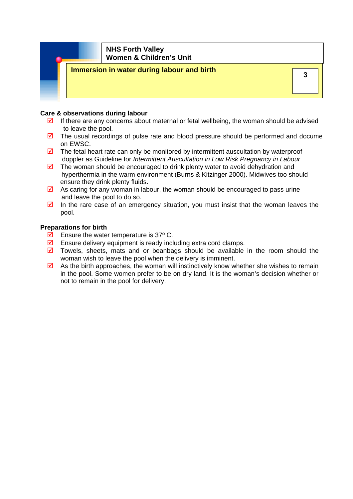### **Immersion in water during labour and birth**

#### **Care & observations during labour**

- $\boxtimes$  If there are any concerns about maternal or fetal wellbeing, the woman should be advised to leave the pool.
- $\boxtimes$  The usual recordings of pulse rate and blood pressure should be performed and docume on EWSC.
- $\boxtimes$  The fetal heart rate can only be monitored by intermittent auscultation by waterproof doppler as Guideline for *Intermittent Auscultation in Low Risk Pregnancy in Labour*
- $\boxtimes$  The woman should be encouraged to drink plenty water to avoid dehydration and hyperthermia in the warm environment (Burns & Kitzinger 2000). Midwives too should ensure they drink plenty fluids.
- $\boxtimes$  As caring for any woman in labour, the woman should be encouraged to pass urine and leave the pool to do so.
- $\boxtimes$  In the rare case of an emergency situation, you must insist that the woman leaves the pool.

#### **Preparations for birth**

- $\overline{\mathbf{2}}$  Ensure the water temperature is 37° C.
- $\boxtimes$  Ensure delivery equipment is ready including extra cord clamps.
- $\boxtimes$  Towels, sheets, mats and or beanbags should be available in the room should the woman wish to leave the pool when the delivery is imminent.
- $\boxtimes$  As the birth approaches, the woman will instinctively know whether she wishes to remain in the pool. Some women prefer to be on dry land. It is the woman's decision whether or not to remain in the pool for delivery.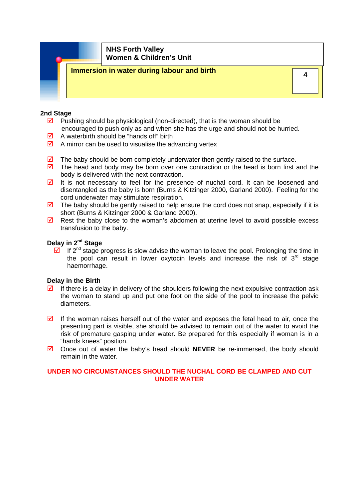# **Immersion in water during labour and birth Alternative Contract of Alternative Contract of Alternative Contract Or**

#### **2nd Stage**

- $\triangledown$  Pushing should be physiological (non-directed), that is the woman should be encouraged to push only as and when she has the urge and should not be hurried.
- $\triangleright$  A waterbirth should be "hands off" birth
- $\boxtimes$  A mirror can be used to visualise the advancing vertex
- $\boxtimes$  The baby should be born completely underwater then gently raised to the surface.
- $\boxtimes$  The head and body may be born over one contraction or the head is born first and the body is delivered with the next contraction.
- $\triangledown$  It is not necessary to feel for the presence of nuchal cord. It can be loosened and disentangled as the baby is born (Burns & Kitzinger 2000, Garland 2000). Feeling for the cord underwater may stimulate respiration.
- $\boxtimes$  The baby should be gently raised to help ensure the cord does not snap, especially if it is short (Burns & Kitzinger 2000 & Garland 2000).
- $\boxtimes$  Rest the baby close to the woman's abdomen at uterine level to avoid possible excess transfusion to the baby.

### **Delay in 2nd Stage**

 $\overline{2}$  If 2<sup>nd</sup> stage progress is slow advise the woman to leave the pool. Prolonging the time in the pool can result in lower oxytocin levels and increase the risk of  $3<sup>rd</sup>$  stage haemorrhage.

#### **Delay in the Birth**

- $\boxtimes$  If there is a delay in delivery of the shoulders following the next expulsive contraction ask the woman to stand up and put one foot on the side of the pool to increase the pelvic diameters.
- $\boxtimes$  If the woman raises herself out of the water and exposes the fetal head to air, once the presenting part is visible, she should be advised to remain out of the water to avoid the risk of premature gasping under water. Be prepared for this especially if woman is in a "hands knees" position.
- $\overline{2}$  Once out of water the baby's head should **NEVER** be re-immersed, the body should remain in the water.

#### **UNDER NO CIRCUMSTANCES SHOULD THE NUCHAL CORD BE CLAMPED AND CUT UNDER WATER**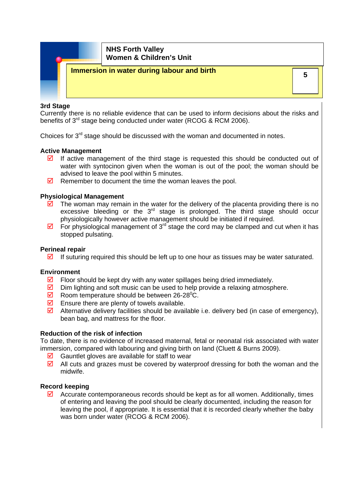

#### **3rd Stage**

Currently there is no reliable evidence that can be used to inform decisions about the risks and benefits of 3<sup>rd</sup> stage being conducted under water (RCOG & RCM 2006).

Choices for  $3<sup>rd</sup>$  stage should be discussed with the woman and documented in notes.

#### **Active Management**

- $\boxtimes$  If active management of the third stage is requested this should be conducted out of water with syntocinon given when the woman is out of the pool; the woman should be advised to leave the pool within 5 minutes.
- $\boxtimes$  Remember to document the time the woman leaves the pool.

#### **Physiological Management**

- $\boxtimes$  The woman may remain in the water for the delivery of the placenta providing there is no excessive bleeding or the  $3<sup>rd</sup>$  stage is prolonged. The third stage should occur physiologically however active management should be initiated if required.
- $\boxtimes$  For physiological management of 3<sup>rd</sup> stage the cord may be clamped and cut when it has stopped pulsating.

#### **Perineal repair**

 $\boxtimes$  If suturing required this should be left up to one hour as tissues may be water saturated.

#### **Environment**

- $\boxtimes$  Floor should be kept dry with any water spillages being dried immediately.
- $\boxtimes$  Dim lighting and soft music can be used to help provide a relaxing atmosphere.
- $\boxtimes$  Room temperature should be between 26-28<sup>°</sup>C.
- $\triangledown$  Ensure there are plenty of towels available.
- $\boxtimes$  Alternative delivery facilities should be available i.e. delivery bed (in case of emergency), bean bag, and mattress for the floor.

#### **Reduction of the risk of infection**

To date, there is no evidence of increased maternal, fetal or neonatal risk associated with water immersion, compared with labouring and giving birth on land (Cluett & Burns 2009).

- $\boxtimes$  Gauntlet gloves are available for staff to wear
- $\boxtimes$  All cuts and grazes must be covered by waterproof dressing for both the woman and the midwife.

#### **Record keeping**

 $\boxtimes$  Accurate contemporaneous records should be kept as for all women. Additionally, times of entering and leaving the pool should be clearly documented, including the reason for leaving the pool, if appropriate. It is essential that it is recorded clearly whether the baby was born under water (RCOG & RCM 2006).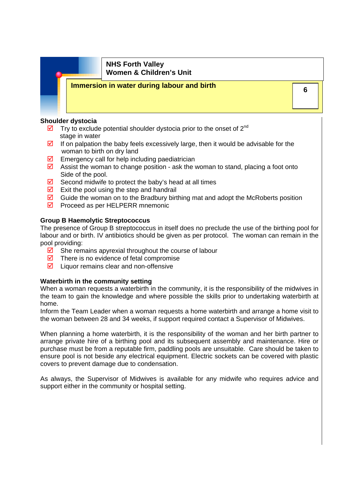# **Immersion in water during labour and birth CONSIDER AND THE SET OF A REAL EXECUTION**

#### **Shoulder dystocia**

- $\overline{\mathbf{2}}$  Try to exclude potential shoulder dystocia prior to the onset of 2<sup>nd</sup> stage in water
- $\boxtimes$  If on palpation the baby feels excessively large, then it would be advisable for the woman to birth on dry land
- $\boxtimes$  Emergency call for help including paediatrician
- $\boxtimes$  Assist the woman to change position ask the woman to stand, placing a foot onto Side of the pool.
- $\boxtimes$  Second midwife to protect the baby's head at all times
- $\triangledown$  Exit the pool using the step and handrail
- $\boxtimes$  Guide the woman on to the Bradbury birthing mat and adopt the McRoberts position
- $\triangledown$  Proceed as per HELPERR mnemonic

### **Group B Haemolytic Streptococcus**

The presence of Group B streptococcus in itself does no preclude the use of the birthing pool for labour and or birth. IV antibiotics should be given as per protocol. The woman can remain in the pool providing:

- $\boxtimes$  She remains apyrexial throughout the course of labour
- $\triangledown$  There is no evidence of fetal compromise
- $\triangleright$  Liquor remains clear and non-offensive

#### **Waterbirth in the community setting**

When a woman requests a waterbirth in the community, it is the responsibility of the midwives in the team to gain the knowledge and where possible the skills prior to undertaking waterbirth at home.

Inform the Team Leader when a woman requests a home waterbirth and arrange a home visit to the woman between 28 and 34 weeks, if support required contact a Supervisor of Midwives.

When planning a home waterbirth, it is the responsibility of the woman and her birth partner to arrange private hire of a birthing pool and its subsequent assembly and maintenance. Hire or purchase must be from a reputable firm, paddling pools are unsuitable. Care should be taken to ensure pool is not beside any electrical equipment. Electric sockets can be covered with plastic covers to prevent damage due to condensation.

As always, the Supervisor of Midwives is available for any midwife who requires advice and support either in the community or hospital setting.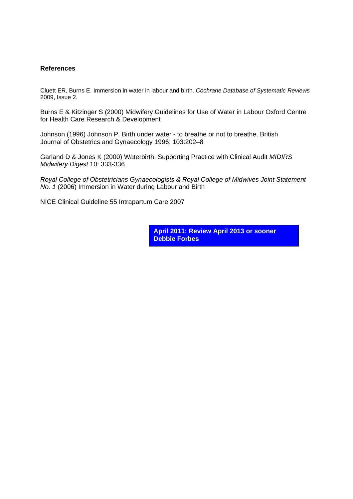#### **References**

Cluett ER, Burns E. Immersion in water in labour and birth. *Cochrane Database of Systematic Reviews* 2009, Issue 2.

Burns E & Kitzinger S (2000) Midwifery Guidelines for Use of Water in Labour Oxford Centre for Health Care Research & Development

Johnson (1996) Johnson P. Birth under water - to breathe or not to breathe. British Journal of Obstetrics and Gynaecology 1996; 103:202–8

Garland D & Jones K (2000) Waterbirth: Supporting Practice with Clinical Audit *MIDIRS Midwifery Digest* 10: 333-336

*Royal College of Obstetricians Gynaecologists & Royal College of Midwives Joint Statement No. 1* (2006) Immersion in Water during Labour and Birth

NICE Clinical Guideline 55 Intrapartum Care 2007

**April 2011: Review April 2013 or sooner Debbie Forbes**